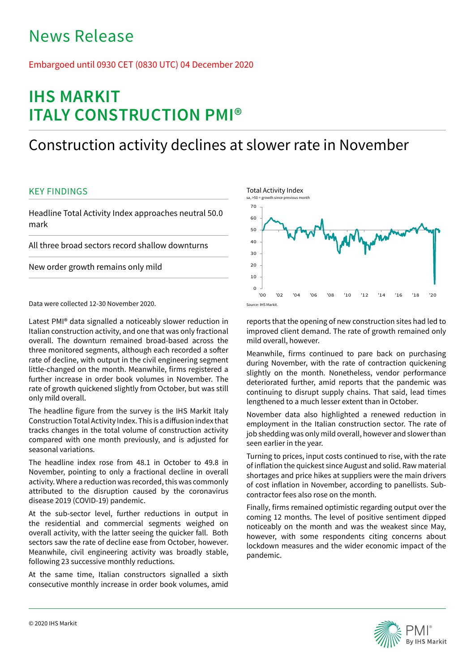# News Release

## Embargoed until 0930 CET (0830 UTC) 04 December 2020

# **IHS MARKIT ITALY CONSTRUCTION PMI®**

## Construction activity declines at slower rate in November

## KEY FINDINGS

Headline Total Activity Index approaches neutral 50.0 mark

All three broad sectors record shallow downturns

New order growth remains only mild

Data were collected 12-30 November 2020.

Latest PMI® data signalled a noticeably slower reduction in Italian construction activity, and one that was only fractional overall. The downturn remained broad-based across the three monitored segments, although each recorded a softer rate of decline, with output in the civil engineering segment little-changed on the month. Meanwhile, firms registered a further increase in order book volumes in November. The rate of growth quickened slightly from October, but was still only mild overall.

The headline figure from the survey is the IHS Markit Italy Construction Total Activity Index. This is a diffusion index that tracks changes in the total volume of construction activity compared with one month previously, and is adjusted for seasonal variations.

The headline index rose from 48.1 in October to 49.8 in November, pointing to only a fractional decline in overall activity. Where a reduction was recorded, this was commonly attributed to the disruption caused by the coronavirus disease 2019 (COVID-19) pandemic.

At the sub-sector level, further reductions in output in the residential and commercial segments weighed on overall activity, with the latter seeing the quicker fall. Both sectors saw the rate of decline ease from October, however. Meanwhile, civil engineering activity was broadly stable, following 23 successive monthly reductions.

At the same time, Italian constructors signalled a sixth consecutive monthly increase in order book volumes, amid



reports that the opening of new construction sites had led to improved client demand. The rate of growth remained only mild overall, however.

Meanwhile, firms continued to pare back on purchasing during November, with the rate of contraction quickening slightly on the month. Nonetheless, vendor performance deteriorated further, amid reports that the pandemic was continuing to disrupt supply chains. That said, lead times lengthened to a much lesser extent than in October.

November data also highlighted a renewed reduction in employment in the Italian construction sector. The rate of job shedding was only mild overall, however and slower than seen earlier in the year.

Turning to prices, input costs continued to rise, with the rate of inflation the quickest since August and solid. Raw material shortages and price hikes at suppliers were the main drivers of cost inflation in November, according to panellists. Subcontractor fees also rose on the month.

Finally, firms remained optimistic regarding output over the coming 12 months. The level of positive sentiment dipped noticeably on the month and was the weakest since May, however, with some respondents citing concerns about lockdown measures and the wider economic impact of the pandemic.